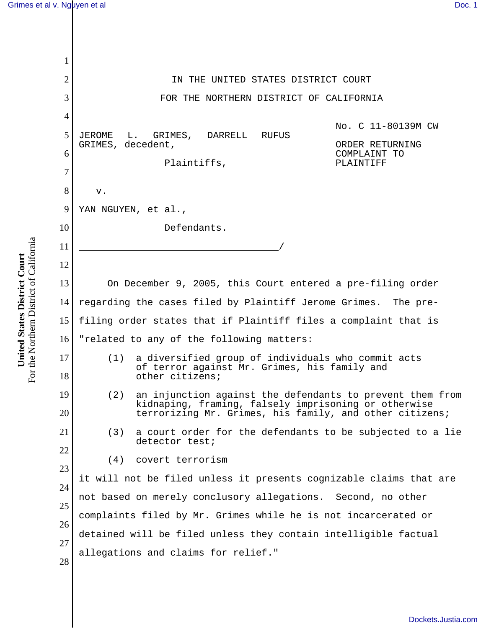1 2 3 4 5 6 7 8 9 10 11 12 13 14 15 16 17 18 19 20 21 22 23 24 25 26 27 28 IN THE UNITED STATES DISTRICT COURT FOR THE NORTHERN DISTRICT OF CALIFORNIA JEROME L. GRIMES, DARRELL RUFUS GRIMES, decedent, Plaintiffs, v. YAN NGUYEN, et al., Defendants. <u>/</u>/ No. C 11-80139M CW ORDER RETURNING COMPLAINT TO PLAINTIFF On December 9, 2005, this Court entered a pre-filing order regarding the cases filed by Plaintiff Jerome Grimes. The prefiling order states that if Plaintiff files a complaint that is "related to any of the following matters: (1) a diversified group of individuals who commit acts of terror against Mr. Grimes, his family and other citizens; (2) an injunction against the defendants to prevent them from kidnaping, framing, falsely imprisoning or otherwise terrorizing Mr. Grimes, his family, and other citizens; (3) a court order for the defendants to be subjected to a lie detector test; (4) covert terrorism it will not be filed unless it presents cognizable claims that are not based on merely conclusory allegations. Second, no other complaints filed by Mr. Grimes while he is not incarcerated or detained will be filed unless they contain intelligible factual allegations and claims for relief."

For the Northern District of California For the Northern District of California United States District Court **United States District Court**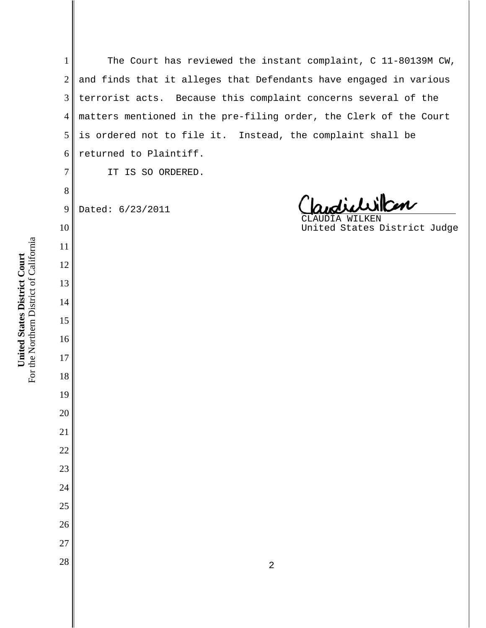$\begin{array}{|c|c|c|c|c|}\n \hline\n 28 & 2 \\
\hline\n \end{array}$ The Court has reviewed the instant complaint, C 11-80139M CW, and finds that it alleges that Defendants have engaged in various terrorist acts. Because this complaint concerns several of the matters mentioned in the pre-filing order, the Clerk of the Court is ordered not to file it. Instead, the complaint shall be returned to Plaintiff. IT IS SO ORDERED. Dated: 6/23/2011 UDIA WILKEN United States District Judge